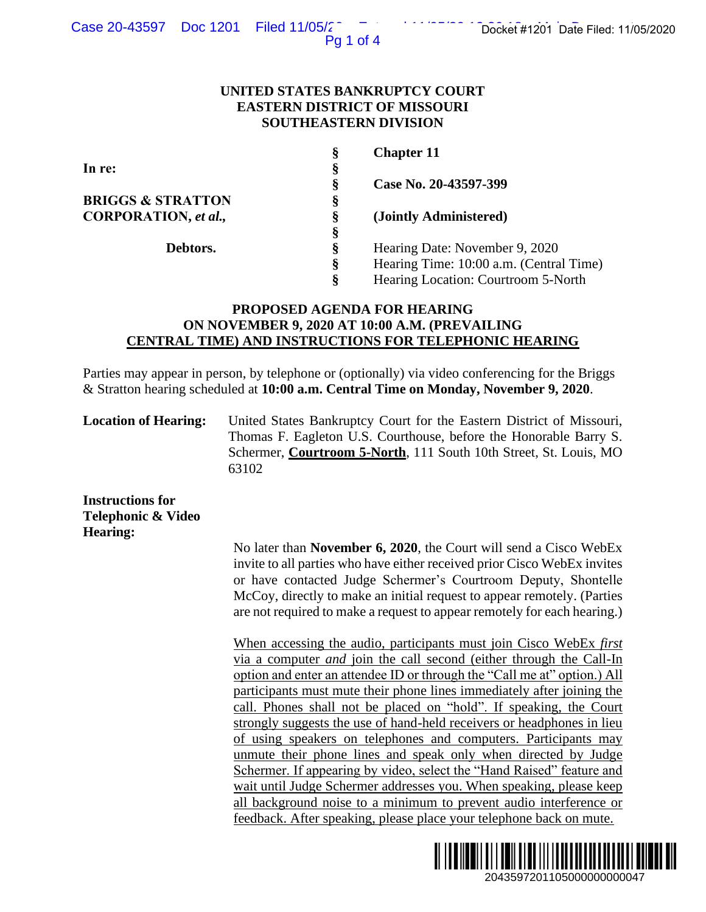Pg 1 of 4

### **UNITED STATES BANKRUPTCY COURT EASTERN DISTRICT OF MISSOURI SOUTHEASTERN DIVISION**

| §  | <b>Chapter 11</b>                       |
|----|-----------------------------------------|
| §  |                                         |
| §  | Case No. 20-43597-399                   |
| §  |                                         |
| §  | (Jointly Administered)                  |
| §  |                                         |
| ş  | Hearing Date: November 9, 2020          |
| §  | Hearing Time: 10:00 a.m. (Central Time) |
| \$ | Hearing Location: Courtroom 5-North     |
|    |                                         |

# **PROPOSED AGENDA FOR HEARING ON NOVEMBER 9, 2020 AT 10:00 A.M. (PREVAILING CENTRAL TIME) AND INSTRUCTIONS FOR TELEPHONIC HEARING**

Parties may appear in person, by telephone or (optionally) via video conferencing for the Briggs & Stratton hearing scheduled at **10:00 a.m. Central Time on Monday, November 9, 2020**.

**Location of Hearing:** United States Bankruptcy Court for the Eastern District of Missouri, Thomas F. Eagleton U.S. Courthouse, before the Honorable Barry S. Schermer, **Courtroom 5-North**, 111 South 10th Street, St. Louis, MO 63102

**Instructions for Telephonic & Video Hearing:**

> No later than **November 6, 2020**, the Court will send a Cisco WebEx invite to all parties who have either received prior Cisco WebEx invites or have contacted Judge Schermer's Courtroom Deputy, Shontelle McCoy, directly to make an initial request to appear remotely. (Parties are not required to make a request to appear remotely for each hearing.)

When accessing the audio, participants must join Cisco WebEx *first*  via a computer *and* join the call second (either through the Call-In option and enter an attendee ID or through the "Call me at" option.) All participants must mute their phone lines immediately after joining the call. Phones shall not be placed on "hold". If speaking, the Court strongly suggests the use of hand-held receivers or headphones in lieu of using speakers on telephones and computers. Participants may unmute their phone lines and speak only when directed by Judge Schermer. If appearing by video, select the "Hand Raised" feature and wait until Judge Schermer addresses you. When speaking, please keep all background noise to a minimum to prevent audio interference or feedback. After speaking, please place your telephone back on mute. 2043597201105/2020<br>
20436877201105/2020<br>
2040 a.m. (Central Time)<br>
2010 a.m. (Central Time)<br>
2010 a.m. (Central Time)<br>
2010 a.m. (Central Time)<br>
2010 a.m. (Central Time)<br>
2010 a.m. (Central Time)<br>
400000000000000000000000

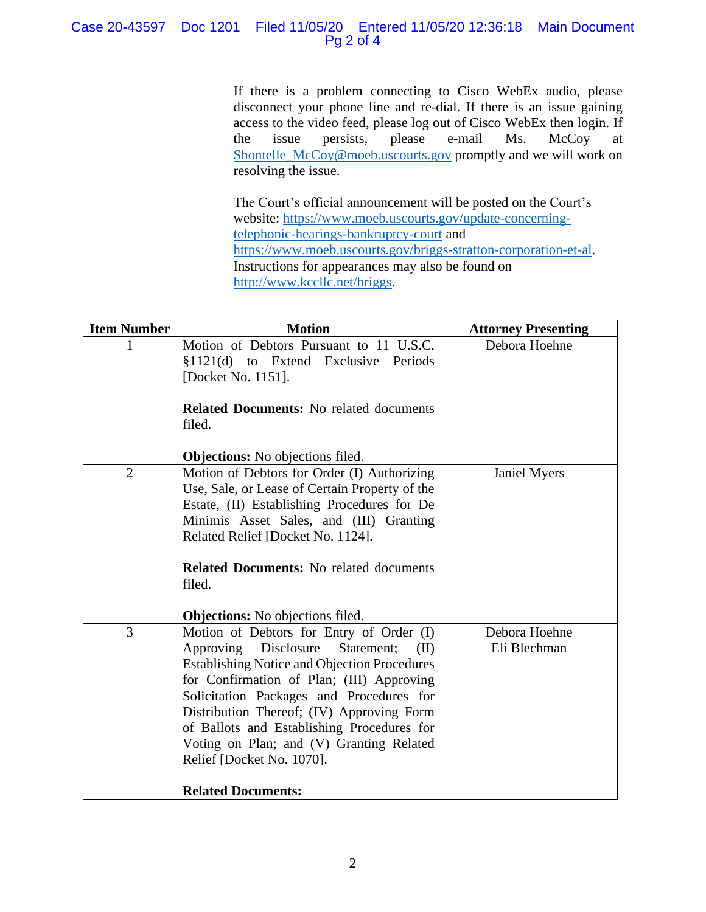## Case 20-43597 Doc 1201 Filed 11/05/20 Entered 11/05/20 12:36:18 Main Document Pg 2 of 4

If there is a problem connecting to Cisco WebEx audio, please disconnect your phone line and re-dial. If there is an issue gaining access to the video feed, please log out of Cisco WebEx then login. If the issue persists, please e-mail Ms. McCoy at [Shontelle\\_McCoy@moeb.uscourts.gov](mailto:Shontelle_McCoy@moeb.uscourts.gov) promptly and we will work on resolving the issue.

The Court's official announcement will be posted on the Court's website: [https://www.moeb.uscourts.gov/update-concerning](https://www.moeb.uscourts.gov/update-concerning-telephonic-hearings-bankruptcy-court)[telephonic-hearings-bankruptcy-court](https://www.moeb.uscourts.gov/update-concerning-telephonic-hearings-bankruptcy-court) and [https://www.moeb.uscourts.gov/briggs-stratton-corporation-et-al.](https://www.moeb.uscourts.gov/briggs-stratton-corporation-et-al) Instructions for appearances may also be found on [http://www.kccllc.net/briggs.](http://www.kccllc.net/briggs)

| <b>Item Number</b> | <b>Motion</b>                                                                                                                                                                                                                                                                                                                                                                                                                                                                         | <b>Attorney Presenting</b>    |
|--------------------|---------------------------------------------------------------------------------------------------------------------------------------------------------------------------------------------------------------------------------------------------------------------------------------------------------------------------------------------------------------------------------------------------------------------------------------------------------------------------------------|-------------------------------|
|                    | Motion of Debtors Pursuant to 11 U.S.C.<br>§1121(d) to Extend Exclusive Periods<br>[Docket No. 1151].<br><b>Related Documents:</b> No related documents<br>filed.                                                                                                                                                                                                                                                                                                                     | Debora Hoehne                 |
| $\overline{2}$     | <b>Objections:</b> No objections filed.<br>Motion of Debtors for Order (I) Authorizing<br>Use, Sale, or Lease of Certain Property of the<br>Estate, (II) Establishing Procedures for De<br>Minimis Asset Sales, and (III) Granting<br>Related Relief [Docket No. 1124].<br><b>Related Documents:</b> No related documents<br>filed.                                                                                                                                                   | <b>Janiel Myers</b>           |
| 3                  | <b>Objections:</b> No objections filed.<br>Motion of Debtors for Entry of Order (I)<br>Approving<br>Disclosure<br>Statement;<br>(II)<br><b>Establishing Notice and Objection Procedures</b><br>for Confirmation of Plan; (III) Approving<br>Solicitation Packages and Procedures for<br>Distribution Thereof; (IV) Approving Form<br>of Ballots and Establishing Procedures for<br>Voting on Plan; and (V) Granting Related<br>Relief [Docket No. 1070].<br><b>Related Documents:</b> | Debora Hoehne<br>Eli Blechman |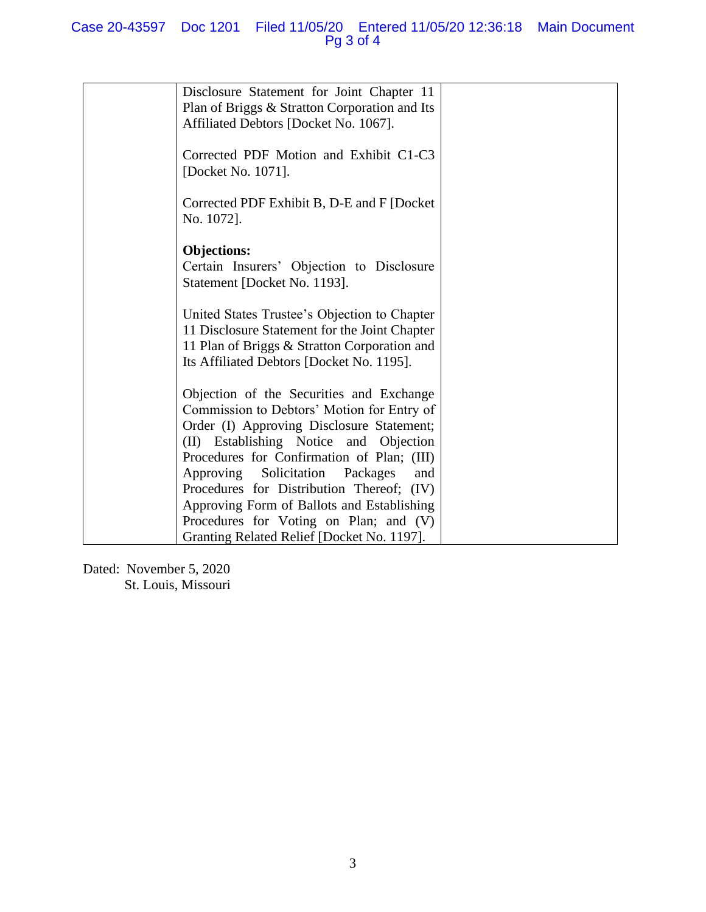# Case 20-43597 Doc 1201 Filed 11/05/20 Entered 11/05/20 12:36:18 Main Document Pg 3 of 4

| Disclosure Statement for Joint Chapter 11<br>Plan of Briggs & Stratton Corporation and Its<br>Affiliated Debtors [Docket No. 1067].                                                                                                                                                                                                                                 |  |
|---------------------------------------------------------------------------------------------------------------------------------------------------------------------------------------------------------------------------------------------------------------------------------------------------------------------------------------------------------------------|--|
| Corrected PDF Motion and Exhibit C1-C3<br>[Docket No. 1071].                                                                                                                                                                                                                                                                                                        |  |
| Corrected PDF Exhibit B, D-E and F [Docket]<br>No. 1072].                                                                                                                                                                                                                                                                                                           |  |
| <b>Objections:</b><br>Certain Insurers' Objection to Disclosure<br>Statement [Docket No. 1193].                                                                                                                                                                                                                                                                     |  |
| United States Trustee's Objection to Chapter<br>11 Disclosure Statement for the Joint Chapter<br>11 Plan of Briggs & Stratton Corporation and<br>Its Affiliated Debtors [Docket No. 1195].                                                                                                                                                                          |  |
| Objection of the Securities and Exchange<br>Commission to Debtors' Motion for Entry of<br>Order (I) Approving Disclosure Statement;<br>(II) Establishing Notice and Objection<br>Procedures for Confirmation of Plan; (III)<br>Approving Solicitation<br>Packages<br>and<br>Procedures for Distribution Thereof; (IV)<br>Approving Form of Ballots and Establishing |  |
| Procedures for Voting on Plan; and (V)<br>Granting Related Relief [Docket No. 1197].                                                                                                                                                                                                                                                                                |  |

Dated: November 5, 2020 St. Louis, Missouri